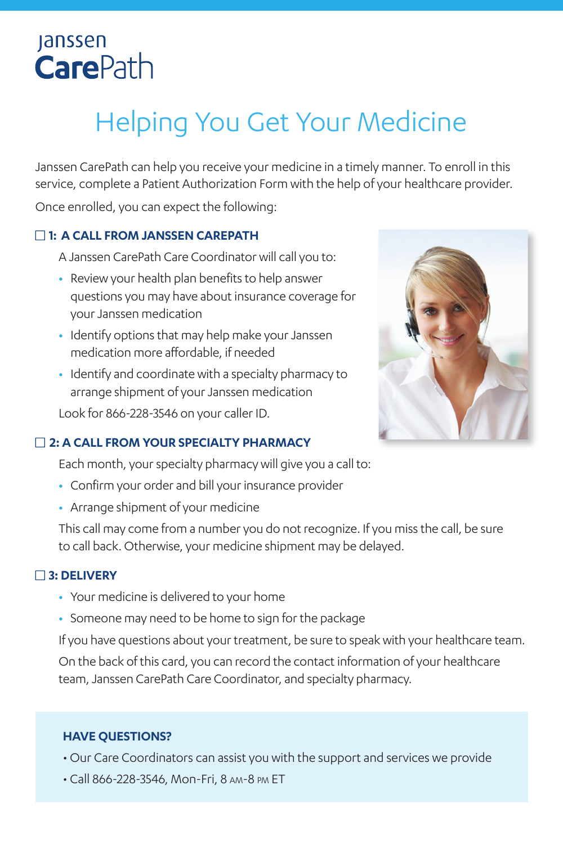# **Janssen CarePath**

# Helping You Get Your Medicine

Janssen CarePath can help you receive your medicine in a timely manner. To enroll in this service, complete a Patient Authorization Form with the help of your healthcare provider.

Once enrolled, you can expect the following:

### $\Box$  **1: A CALL FROM JANSSEN CAREPATH**

- A Janssen CarePath Care Coordinator will call you to:
- **•** Review your health plan benefits to help answer questions you may have about insurance coverage for your Janssen medication
- **•** Identify options that may help make your Janssen medication more affordable, if needed
- **•** Identify and coordinate with a specialty pharmacy to arrange shipment of your Janssen medication

Look for 866-228-3546 on your caller ID.

#### □ 2: A CALL FROM YOUR SPECIALTY PHARMACY

Each month, your specialty pharmacy will give you a call to:

- **•** Confirm your order and bill your insurance provider
- **•** Arrange shipment of your medicine

This call may come from a number you do not recognize. If you miss the call, be sure to call back. Otherwise, your medicine shipment may be delayed.

#### **□ 3: DELIVERY**

- **•** Your medicine is delivered to your home
- **•** Someone may need to be home to sign for the package

If you have questions about your treatment, be sure to speak with your healthcare team. On the back of this card, you can record the contact information of your healthcare team, Janssen CarePath Care Coordinator, and specialty pharmacy.

#### **HAVE QUESTIONS?**

- Our Care Coordinators can assist you with the support and services we provide
- Call 866-228-3546, Mon-Fri, 8 am-8 pm ET